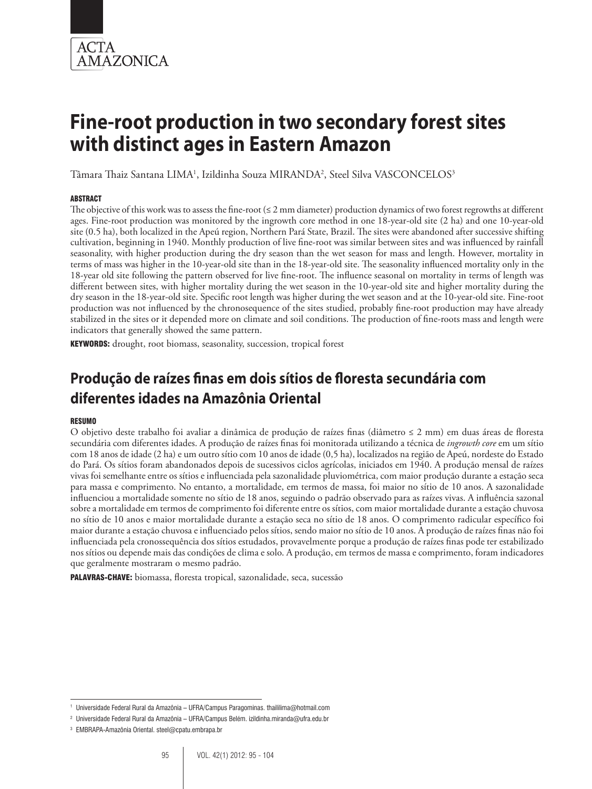

Tâmara Thaiz Santana LIMA<sup>1</sup>, Izildinha Souza MIRANDA<sup>2</sup>, Steel Silva VASCONCELOS<sup>3</sup>

## **ABSTRACT**

The objective of this work was to assess the fine-root  $(\leq 2 \text{ mm diameter})$  production dynamics of two forest regrowths at different ages. Fine-root production was monitored by the ingrowth core method in one 18-year-old site (2 ha) and one 10-year-old site (0.5 ha), both localized in the Apeú region, Northern Pará State, Brazil. The sites were abandoned after successive shifting cultivation, beginning in 1940. Monthly production of live fine-root was similar between sites and was influenced by rainfall seasonality, with higher production during the dry season than the wet season for mass and length. However, mortality in terms of mass was higher in the 10-year-old site than in the 18-year-old site. The seasonality influenced mortality only in the 18-year old site following the pattern observed for live fine-root. The influence seasonal on mortality in terms of length was different between sites, with higher mortality during the wet season in the 10-year-old site and higher mortality during the dry season in the 18-year-old site. Specific root length was higher during the wet season and at the 10-year-old site. Fine-root production was not influenced by the chronosequence of the sites studied, probably fine-root production may have already stabilized in the sites or it depended more on climate and soil conditions. The production of fine-roots mass and length were indicators that generally showed the same pattern.

KEYWORDS: drought, root biomass, seasonality, succession, tropical forest

# **Produção de raízes finas em dois sítios de floresta secundária com diferentes idades na Amazônia Oriental**

### Resumo

O objetivo deste trabalho foi avaliar a dinâmica de produção de raízes finas (diâmetro ≤ 2 mm) em duas áreas de floresta secundária com diferentes idades. A produção de raízes finas foi monitorada utilizando a técnica de *ingrowth core* em um sítio com 18 anos de idade (2 ha) e um outro sítio com 10 anos de idade (0,5 ha), localizados na região de Apeú, nordeste do Estado do Pará. Os sítios foram abandonados depois de sucessivos ciclos agrícolas, iniciados em 1940. A produção mensal de raízes vivas foi semelhante entre os sítios e influenciada pela sazonalidade pluviométrica, com maior produção durante a estação seca para massa e comprimento. No entanto, a mortalidade, em termos de massa, foi maior no sítio de 10 anos. A sazonalidade influenciou a mortalidade somente no sítio de 18 anos, seguindo o padrão observado para as raízes vivas. A influência sazonal sobre a mortalidade em termos de comprimento foi diferente entre os sítios, com maior mortalidade durante a estação chuvosa no sítio de 10 anos e maior mortalidade durante a estação seca no sítio de 18 anos. O comprimento radicular específico foi maior durante a estação chuvosa e influenciado pelos sítios, sendo maior no sítio de 10 anos. A produção de raízes finas não foi influenciada pela cronossequência dos sítios estudados, provavelmente porque a produção de raízes finas pode ter estabilizado nos sítios ou depende mais das condições de clima e solo. A produção, em termos de massa e comprimento, foram indicadores que geralmente mostraram o mesmo padrão.

PALAVRAS-CHAVE: biomassa, floresta tropical, sazonalidade, seca, sucessão

<sup>1</sup> Universidade Federal Rural da Amazônia – UFRA/Campus Paragominas. thaililima@hotmail.com

<sup>&</sup>lt;sup>2</sup> Universidade Federal Rural da Amazônia – UFRA/Campus Belém. izildinha.miranda@ufra.edu.br

<sup>3</sup> EMBRAPA-Amazônia Oriental. steel@cpatu.embrapa.br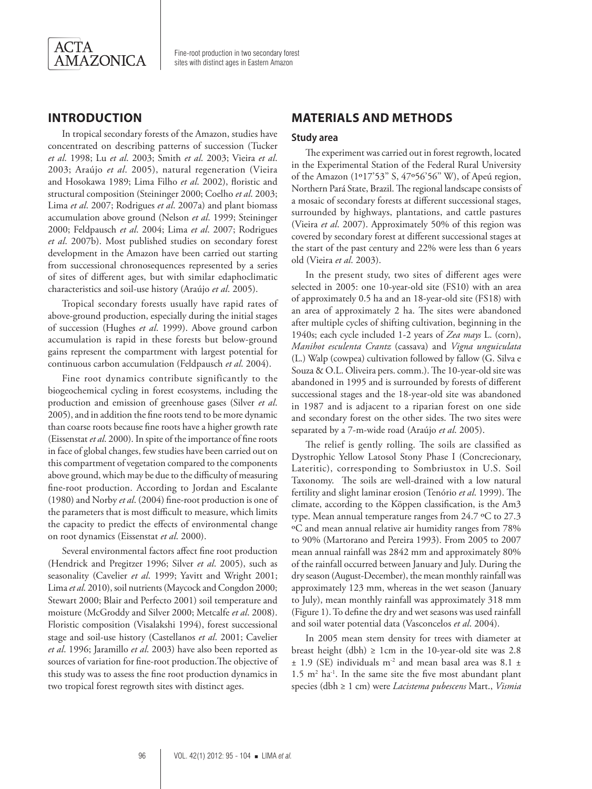

# **Introduction**

In tropical secondary forests of the Amazon, studies have concentrated on describing patterns of succession (Tucker *et al*. 1998; Lu *et al*. 2003; Smith *et al*. 2003; Vieira *et al*. 2003; Araújo *et al*. 2005), natural regeneration (Vieira and Hosokawa 1989; Lima Filho *et al*. 2002), floristic and structural composition (Steininger 2000; Coelho *et al*. 2003; Lima *et al*. 2007; Rodrigues *et al*. 2007a) and plant biomass accumulation above ground (Nelson *et al*. 1999; Steininger 2000; Feldpausch *et al*. 2004; Lima *et al*. 2007; Rodrigues *et al*. 2007b). Most published studies on secondary forest development in the Amazon have been carried out starting from successional chronosequences represented by a series of sites of different ages, but with similar edaphoclimatic characteristics and soil-use history (Araújo *et al*. 2005).

Tropical secondary forests usually have rapid rates of above-ground production, especially during the initial stages of succession (Hughes *et al*. 1999). Above ground carbon accumulation is rapid in these forests but below-ground gains represent the compartment with largest potential for continuous carbon accumulation (Feldpausch *et al*. 2004).

Fine root dynamics contribute significantly to the biogeochemical cycling in forest ecosystems, including the production and emission of greenhouse gases (Silver *et al*. 2005), and in addition the fine roots tend to be more dynamic than coarse roots because fine roots have a higher growth rate (Eissenstat *et al*. 2000). In spite of the importance of fine roots in face of global changes, few studies have been carried out on this compartment of vegetation compared to the components above ground, which may be due to the difficulty of measuring fine-root production. According to Jordan and Escalante (1980) and Norby *et al*. (2004) fine-root production is one of the parameters that is most difficult to measure, which limits the capacity to predict the effects of environmental change on root dynamics (Eissenstat *et al*. 2000).

Several environmental factors affect fine root production (Hendrick and Pregitzer 1996; Silver *et al*. 2005), such as seasonality (Cavelier *et al*. 1999; Yavitt and Wright 2001; Lima *et al*. 2010), soil nutrients (Maycock and Congdon 2000; Stewart 2000; Blair and Perfecto 2001) soil temperature and moisture (McGroddy and Silver 2000; Metcalfe *et al*. 2008). Floristic composition (Visalakshi 1994), forest successional stage and soil-use history (Castellanos *et al*. 2001; Cavelier *et al*. 1996; Jaramillo *et al*. 2003) have also been reported as sources of variation for fine-root production.The objective of this study was to assess the fine root production dynamics in two tropical forest regrowth sites with distinct ages.

# **Materials and Methods**

### **Study area**

The experiment was carried out in forest regrowth, located in the Experimental Station of the Federal Rural University of the Amazon (1º17'53'' S, 47º56'56'' W), of Apeú region, Northern Pará State, Brazil. The regional landscape consists of a mosaic of secondary forests at different successional stages, surrounded by highways, plantations, and cattle pastures (Vieira *et al*. 2007). Approximately 50% of this region was covered by secondary forest at different successional stages at the start of the past century and 22% were less than 6 years old (Vieira *et al*. 2003).

In the present study, two sites of different ages were selected in 2005: one 10-year-old site (FS10) with an area of approximately 0.5 ha and an 18-year-old site (FS18) with an area of approximately 2 ha. The sites were abandoned after multiple cycles of shifting cultivation, beginning in the 1940s; each cycle included 1-2 years of *Zea mays* L. (corn), *Manihot esculenta Crantz* (cassava) and *Vigna unguiculata* (L.) Walp (cowpea) cultivation followed by fallow (G. Silva e Souza & O.L. Oliveira pers. comm.). The 10-year-old site was abandoned in 1995 and is surrounded by forests of different successional stages and the 18-year-old site was abandoned in 1987 and is adjacent to a riparian forest on one side and secondary forest on the other sides. The two sites were separated by a 7-m-wide road (Araújo *et al*. 2005).

The relief is gently rolling. The soils are classified as Dystrophic Yellow Latosol Stony Phase I (Concrecionary, Lateritic), corresponding to Sombriustox in U.S. Soil Taxonomy. The soils are well-drained with a low natural fertility and slight laminar erosion (Tenório *et al*. 1999). The climate, according to the Köppen classification, is the Am3 type. Mean annual temperature ranges from 24.7 ºC to 27.3 ºC and mean annual relative air humidity ranges from 78% to 90% (Martorano and Pereira 1993). From 2005 to 2007 mean annual rainfall was 2842 mm and approximately 80% of the rainfall occurred between January and July. During the dry season (August-December), the mean monthly rainfall was approximately 123 mm, whereas in the wet season (January to July), mean monthly rainfall was approximately 318 mm (Figure 1). To define the dry and wet seasons was used rainfall and soil water potential data (Vasconcelos *et al*. 2004).

In 2005 mean stem density for trees with diameter at breast height (dbh)  $\geq 1$ cm in the 10-year-old site was 2.8  $\pm$  1.9 (SE) individuals m<sup>-2</sup> and mean basal area was 8.1  $\pm$  $1.5$  m<sup>2</sup> ha<sup>-1</sup>. In the same site the five most abundant plant species (dbh ≥ 1 cm) were *Lacistema pubescens* Mart., *Vismia*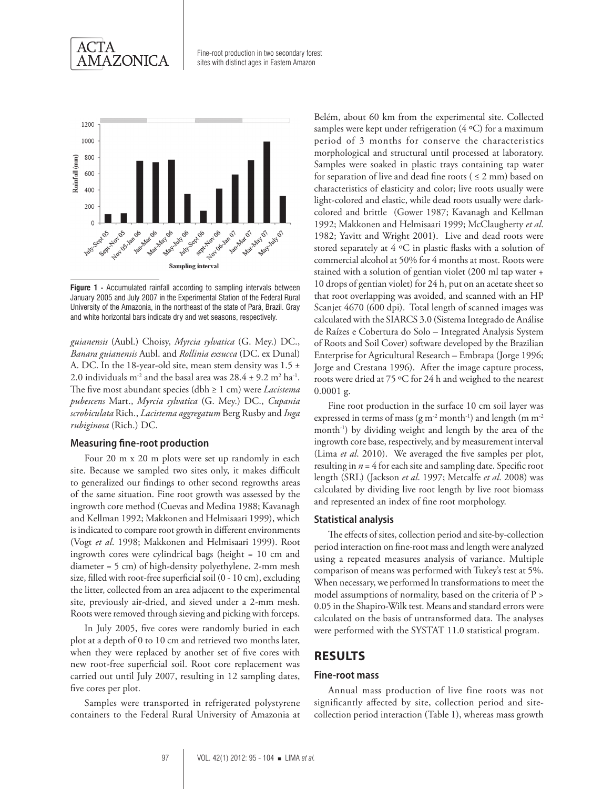



**Figure 1 -** Accumulated rainfall according to sampling intervals between January 2005 and July 2007 in the Experimental Station of the Federal Rural University of the Amazonia, in the northeast of the state of Pará, Brazil. Gray and white horizontal bars indicate dry and wet seasons, respectively.

*guianensis* (Aubl.) Choisy, *Myrcia sylvatica* (G. Mey.) DC., *Banara guianensis* Aubl. and *Rollinia exsucca* (DC. ex Dunal) A. DC. In the 18-year-old site, mean stem density was 1.5 ± 2.0 individuals  $m^{-2}$  and the basal area was  $28.4 \pm 9.2$   $m^2$  ha<sup>-1</sup>. The five most abundant species (dbh ≥ 1 cm) were *Lacistema pubescens* Mart., *Myrcia sylvatica* (G. Mey.) DC., *Cupania scrobiculata* Rich., *Lacistema aggregatum* Berg Rusby and *Inga rubiginosa* (Rich.) DC.

#### **Measuring fine-root production**

Four 20 m x 20 m plots were set up randomly in each site. Because we sampled two sites only, it makes difficult to generalized our findings to other second regrowths areas of the same situation. Fine root growth was assessed by the ingrowth core method (Cuevas and Medina 1988; Kavanagh and Kellman 1992; Makkonen and Helmisaari 1999), which is indicated to compare root growth in different environments (Vogt *et al*. 1998; Makkonen and Helmisaari 1999). Root ingrowth cores were cylindrical bags (height = 10 cm and diameter = 5 cm) of high-density polyethylene, 2-mm mesh size, filled with root-free superficial soil (0 - 10 cm), excluding the litter, collected from an area adjacent to the experimental site, previously air-dried, and sieved under a 2-mm mesh. Roots were removed through sieving and picking with forceps.

In July 2005, five cores were randomly buried in each plot at a depth of 0 to 10 cm and retrieved two months later, when they were replaced by another set of five cores with new root-free superficial soil. Root core replacement was carried out until July 2007, resulting in 12 sampling dates, five cores per plot.

Samples were transported in refrigerated polystyrene containers to the Federal Rural University of Amazonia at

Belém, about 60 km from the experimental site. Collected samples were kept under refrigeration  $(4 \text{ }^{\circ}C)$  for a maximum period of 3 months for conserve the characteristics morphological and structural until processed at laboratory. Samples were soaked in plastic trays containing tap water for separation of live and dead fine roots ( $\leq$  2 mm) based on characteristics of elasticity and color; live roots usually were light-colored and elastic, while dead roots usually were darkcolored and brittle (Gower 1987; Kavanagh and Kellman 1992; Makkonen and Helmisaari 1999; McClaugherty *et al*. 1982; Yavitt and Wright 2001). Live and dead roots were stored separately at 4 ºC in plastic flasks with a solution of commercial alcohol at 50% for 4 months at most. Roots were stained with a solution of gentian violet (200 ml tap water + 10 drops of gentian violet) for 24 h, put on an acetate sheet so that root overlapping was avoided, and scanned with an HP Scanjet 4670 (600 dpi). Total length of scanned images was calculated with the SIARCS 3.0 (Sistema Integrado de Análise de Raízes e Cobertura do Solo – Integrated Analysis System of Roots and Soil Cover) software developed by the Brazilian Enterprise for Agricultural Research – Embrapa (Jorge 1996; Jorge and Crestana 1996). After the image capture process, roots were dried at 75 ºC for 24 h and weighed to the nearest 0.0001 g.

Fine root production in the surface 10 cm soil layer was expressed in terms of mass (g m<sup>-2</sup> month<sup>-1</sup>) and length (m m<sup>-2</sup>) month-1) by dividing weight and length by the area of the ingrowth core base, respectively, and by measurement interval (Lima *et al*. 2010). We averaged the five samples per plot, resulting in *n* = 4 for each site and sampling date. Specific root length (SRL) (Jackson *et al*. 1997; Metcalfe *et al*. 2008) was calculated by dividing live root length by live root biomass and represented an index of fine root morphology.

#### **Statistical analysis**

The effects of sites, collection period and site-by-collection period interaction on fine-root mass and length were analyzed using a repeated measures analysis of variance. Multiple comparison of means was performed with Tukey's test at 5%. When necessary, we performed ln transformations to meet the model assumptions of normality, based on the criteria of P > 0.05 in the Shapiro-Wilk test. Means and standard errors were calculated on the basis of untransformed data. The analyses were performed with the SYSTAT 11.0 statistical program.

# **RESULTS**

#### **Fine-root mass**

Annual mass production of live fine roots was not significantly affected by site, collection period and sitecollection period interaction (Table 1), whereas mass growth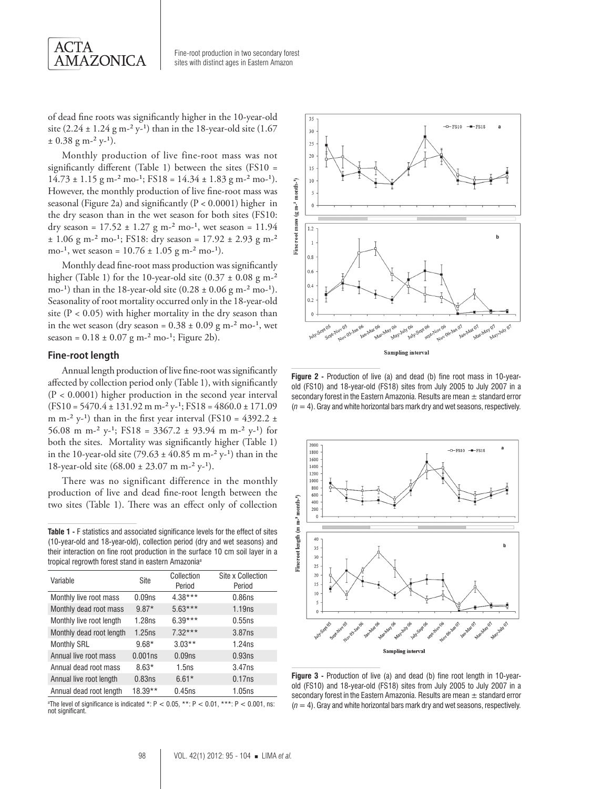

of dead fine roots was significantly higher in the 10-year-old site  $(2.24 \pm 1.24 \text{ g m}^{-2} \text{ y}^{-1})$  than in the 18-year-old site  $(1.67$  $\pm$  0.38 g m<sup>-2</sup> y<sup>-1</sup>).

Monthly production of live fine-root mass was not significantly different (Table 1) between the sites (FS10 =  $14.73 \pm 1.15$  g m<sup>-2</sup> mo<sup>-1</sup>; FS18 =  $14.34 \pm 1.83$  g m<sup>-2</sup> mo<sup>-1</sup>). However, the monthly production of live fine-root mass was seasonal (Figure 2a) and significantly (P < 0.0001) higher in the dry season than in the wet season for both sites (FS10: dry season =  $17.52 \pm 1.27$  g m<sup>-2</sup> mo<sup>-1</sup>, wet season =  $11.94$  $\pm$  1.06 g m<sup>-2</sup> mo<sup>-1</sup>; FS18: dry season = 17.92  $\pm$  2.93 g m<sup>-2</sup> mo-<sup>1</sup>, wet season =  $10.76 \pm 1.05$  g m-<sup>2</sup> mo-<sup>1</sup>).

Monthly dead fine-root mass production was significantly higher (Table 1) for the 10-year-old site  $(0.37 \pm 0.08 \text{ g m}^{-2})$ mo-<sup>1</sup>) than in the 18-year-old site  $(0.28 \pm 0.06 \text{ g m}^{-2} \text{ m}^{-1})$ . Seasonality of root mortality occurred only in the 18-year-old site ( $P < 0.05$ ) with higher mortality in the dry season than in the wet season (dry season =  $0.38 \pm 0.09$  g m<sup>-2</sup> mo<sup>-1</sup>, wet season =  $0.18 \pm 0.07$  g m<sup>-2</sup> mo<sup>-1</sup>; Figure 2b).

#### **Fine-root length**

Annual length production of live fine-root was significantly affected by collection period only (Table 1), with significantly (P < 0.0001) higher production in the second year interval  $(FS10 = 5470.4 \pm 131.92 \text{ m m}^{-2} \text{y}^{-1}; FS18 = 4860.0 \pm 171.09$ m m<sup>-2</sup> y<sup>-1</sup>) than in the first year interval (FS10 = 4392.2  $\pm$ 56.08 m m<sup>-2</sup> y<sup>-1</sup>; FS18 = 3367.2 ± 93.94 m m<sup>-2</sup> y<sup>-1</sup>) for both the sites. Mortality was significantly higher (Table 1) in the 10-year-old site (79.63  $\pm$  40.85 m m<sup>-2</sup> y<sup>-1</sup>) than in the 18-year-old site  $(68.00 \pm 23.07 \text{ m m}^{-2} \text{ y}^{-1})$ .

There was no significant difference in the monthly production of live and dead fine-root length between the two sites (Table 1). There was an effect only of collection

**Table 1 -** F statistics and associated significance levels for the effect of sites (10-year-old and 18-year-old), collection period (dry and wet seasons) and their interaction on fine root production in the surface 10 cm soil layer in a tropical regrowth forest stand in eastern Amazoniaa

| Variable                 | Site               | Collection<br>Period | Site x Collection<br>Period |
|--------------------------|--------------------|----------------------|-----------------------------|
| Monthly live root mass   | 0.09 <sub>ns</sub> | $4.38***$            | 0.86ns                      |
| Monthly dead root mass   | $9.87*$            | $5.63***$            | 1.19ns                      |
| Monthly live root length | 1.28ns             | $6.39***$            | 0.55ns                      |
| Monthly dead root length | 1.25ns             | $7.32***$            | 3.87ns                      |
| <b>Monthly SRL</b>       | $9.68*$            | $3.03**$             | 1.24ns                      |
| Annual live root mass    | 0.001ns            | 0.09 <sub>ns</sub>   | 0.93ns                      |
| Annual dead root mass    | $8.63*$            | 1.5ns                | 3.47ns                      |
| Annual live root length  | 0.83ns             | $6.61*$              | 0.17ns                      |
| Annual dead root length  | 18.39**            | 0.45ns               | 1.05ns                      |

 $^{\circ}$ The level of significance is indicated \*: P < 0.05, \*\*: P < 0.01, \*\*\*: P < 0.001, ns: not significant.



**Figure 2 -** Production of live (a) and dead (b) fine root mass in 10-yearold (FS10) and 18-year-old (FS18) sites from July 2005 to July 2007 in a secondary forest in the Eastern Amazonia. Results are mean  $\pm$  standard error (*n* = 4). Gray and white horizontal bars mark dry and wet seasons, respectively.



**Figure 3 -** Production of live (a) and dead (b) fine root length in 10-yearold (FS10) and 18-year-old (FS18) sites from July 2005 to July 2007 in a secondary forest in the Eastern Amazonia. Results are mean  $\pm$  standard error (*n* = 4). Gray and white horizontal bars mark dry and wet seasons, respectively.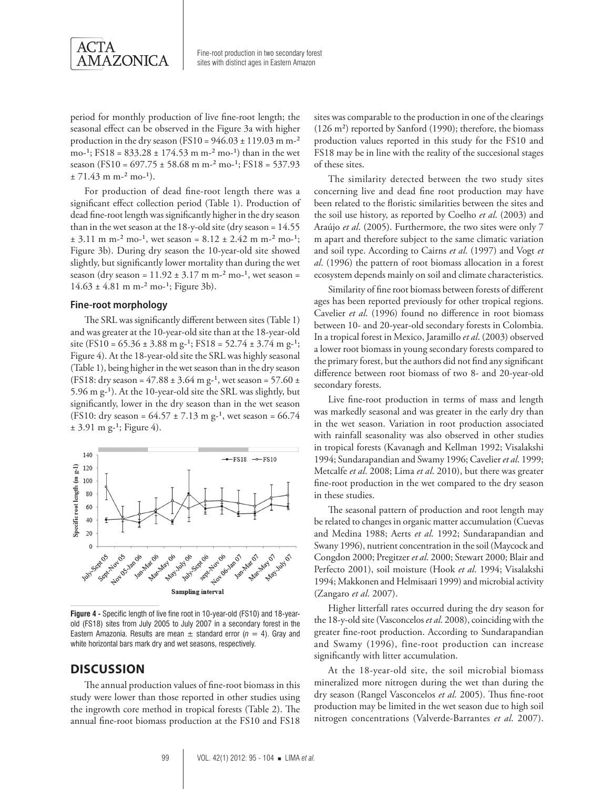

period for monthly production of live fine-root length; the seasonal effect can be observed in the Figure 3a with higher production in the dry season (FS10 =  $946.03 \pm 119.03$  m m<sup>-2</sup> mo-<sup>1</sup>; FS18 =  $833.28 \pm 174.53$  m m-<sup>2</sup> mo-<sup>1</sup>) than in the wet season (FS10 = 697.75  $\pm$  58.68 m m<sup>-2</sup> mo<sup>-1</sup>; FS18 = 537.93  $± 71.43$  m m<sup>-2</sup> mo<sup>-1</sup>).

For production of dead fine-root length there was a significant effect collection period (Table 1). Production of dead fine-root length was significantly higher in the dry season than in the wet season at the 18-y-old site (dry season = 14.55  $\pm$  3.11 m m<sup>-2</sup> mo<sup>-1</sup>, wet season = 8.12  $\pm$  2.42 m m<sup>-2</sup> mo<sup>-1</sup>; Figure 3b). During dry season the 10-year-old site showed slightly, but significantly lower mortality than during the wet season (dry season =  $11.92 \pm 3.17$  m m<sup>-2</sup> mo<sup>-1</sup>, wet season =  $14.63 \pm 4.81$  m m<sup>-2</sup> mo<sup>-1</sup>; Figure 3b).

#### **Fine-root morphology**

The SRL was significantly different between sites (Table 1) and was greater at the 10-year-old site than at the 18-year-old site (FS10 =  $65.36 \pm 3.88$  m g<sup>-1</sup>; FS18 =  $52.74 \pm 3.74$  m g<sup>-1</sup>; Figure 4). At the 18-year-old site the SRL was highly seasonal (Table 1), being higher in the wet season than in the dry season (FS18: dry season =  $47.88 \pm 3.64$  m g<sup>-1</sup>, wet season =  $57.60 \pm$ 5.96 m g-1). At the 10-year-old site the SRL was slightly, but significantly, lower in the dry season than in the wet season (FS10: dry season =  $64.57 \pm 7.13$  m g<sup>-1</sup>, wet season =  $66.74$  $\pm$  3.91 m g-<sup>1</sup>; Figure 4).



**Figure 4 -** Specific length of live fine root in 10-year-old (FS10) and 18-yearold (FS18) sites from July 2005 to July 2007 in a secondary forest in the Eastern Amazonia. Results are mean  $\pm$  standard error ( $n = 4$ ). Gray and white horizontal bars mark dry and wet seasons, respectively.

# **Discussion**

The annual production values of fine-root biomass in this study were lower than those reported in other studies using the ingrowth core method in tropical forests (Table 2). The annual fine-root biomass production at the FS10 and FS18

sites was comparable to the production in one of the clearings (126 m²) reported by Sanford (1990); therefore, the biomass production values reported in this study for the FS10 and FS18 may be in line with the reality of the succesional stages of these sites.

The similarity detected between the two study sites concerning live and dead fine root production may have been related to the floristic similarities between the sites and the soil use history, as reported by Coelho *et al*. (2003) and Araújo *et al*. (2005). Furthermore, the two sites were only 7 m apart and therefore subject to the same climatic variation and soil type. According to Cairns *et al*. (1997) and Vogt *et al*. (1996) the pattern of root biomass allocation in a forest ecosystem depends mainly on soil and climate characteristics.

Similarity of fine root biomass between forests of different ages has been reported previously for other tropical regions. Cavelier *et al*. (1996) found no difference in root biomass between 10- and 20-year-old secondary forests in Colombia. In a tropical forest in Mexico, Jaramillo *et al*. (2003) observed a lower root biomass in young secondary forests compared to the primary forest, but the authors did not find any significant difference between root biomass of two 8- and 20-year-old secondary forests.

Live fine-root production in terms of mass and length was markedly seasonal and was greater in the early dry than in the wet season. Variation in root production associated with rainfall seasonality was also observed in other studies in tropical forests (Kavanagh and Kellman 1992; Visalakshi 1994; Sundarapandian and Swamy 1996; Cavelier *et al*. 1999; Metcalfe *et al*. 2008; Lima *et al*. 2010), but there was greater fine-root production in the wet compared to the dry season in these studies.

The seasonal pattern of production and root length may be related to changes in organic matter accumulation (Cuevas and Medina 1988; Aerts *et al*. 1992; Sundarapandian and Swany 1996), nutrient concentration in the soil (Maycock and Congdon 2000; Pregitzer *et al*. 2000; Stewart 2000; Blair and Perfecto 2001), soil moisture (Hook *et al*. 1994; Visalakshi 1994; Makkonen and Helmisaari 1999) and microbial activity (Zangaro *et al*. 2007).

Higher litterfall rates occurred during the dry season for the 18-y-old site (Vasconcelos *et al*. 2008), coinciding with the greater fine-root production. According to Sundarapandian and Swamy (1996), fine-root production can increase significantly with litter accumulation.

At the 18-year-old site, the soil microbial biomass mineralized more nitrogen during the wet than during the dry season (Rangel Vasconcelos *et al*. 2005). Thus fine-root production may be limited in the wet season due to high soil nitrogen concentrations (Valverde-Barrantes *et al*. 2007).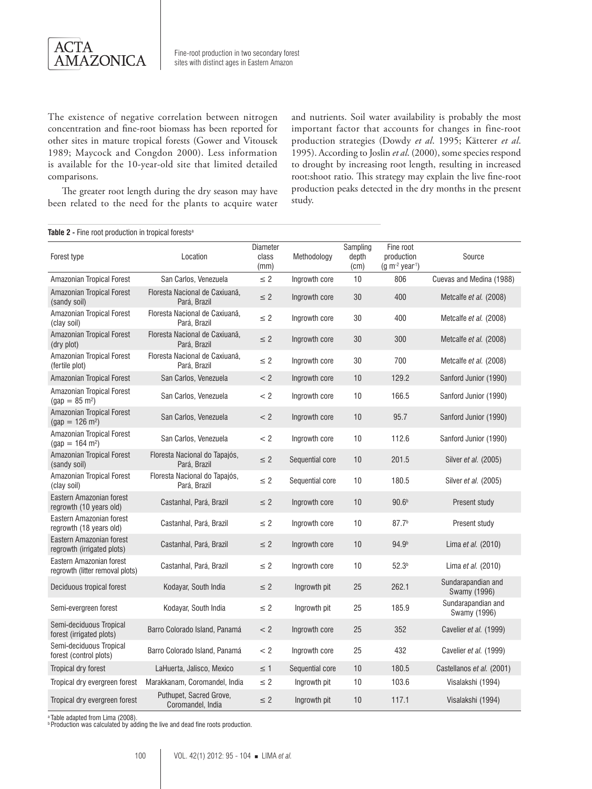

The existence of negative correlation between nitrogen concentration and fine-root biomass has been reported for other sites in mature tropical forests (Gower and Vitousek 1989; Maycock and Congdon 2000). Less information is available for the 10-year-old site that limited detailed comparisons.

The greater root length during the dry season may have been related to the need for the plants to acquire water and nutrients. Soil water availability is probably the most important factor that accounts for changes in fine-root production strategies (Dowdy *et al*. 1995; Kätterer *et al*. 1995). According to Joslin *et al*. (2000), some species respond to drought by increasing root length, resulting in increased root:shoot ratio. This strategy may explain the live fine-root production peaks detected in the dry months in the present study.

#### Table 2 - Fine root production in tropical forests<sup>a</sup>

| Forest type                                                 | Location                                       | <b>Diameter</b><br>class<br>(mm) | Methodology     | Sampling<br>depth<br>(c <sub>m</sub> ) | Fine root<br>production<br>$(g m-2 year-1)$ | Source                             |
|-------------------------------------------------------------|------------------------------------------------|----------------------------------|-----------------|----------------------------------------|---------------------------------------------|------------------------------------|
| Amazonian Tropical Forest                                   | San Carlos, Venezuela                          | $\leq$ 2                         | Ingrowth core   | 10                                     | 806                                         | Cuevas and Medina (1988)           |
| Amazonian Tropical Forest<br>(sandy soil)                   | Floresta Nacional de Caxiuanã.<br>Pará, Brazil | $\leq 2$                         | Ingrowth core   | 30                                     | 400                                         | Metcalfe et al. (2008)             |
| Amazonian Tropical Forest<br>(clay soil)                    | Floresta Nacional de Caxiuanã,<br>Pará, Brazil | $\leq 2$                         | Ingrowth core   | 30                                     | 400                                         | Metcalfe et al. (2008)             |
| Amazonian Tropical Forest<br>(dry plot)                     | Floresta Nacional de Caxiuanã,<br>Pará, Brazil | $\leq 2$                         | Ingrowth core   | 30                                     | 300                                         | Metcalfe et al. (2008)             |
| Amazonian Tropical Forest<br>(fertile plot)                 | Floresta Nacional de Caxiuanã.<br>Pará, Brazil | $\leq 2$                         | Ingrowth core   | 30                                     | 700                                         | Metcalfe et al. (2008)             |
| Amazonian Tropical Forest                                   | San Carlos, Venezuela                          | < 2                              | Ingrowth core   | 10                                     | 129.2                                       | Sanford Junior (1990)              |
| Amazonian Tropical Forest<br>$(gap = 85 \text{ m}^2)$       | San Carlos, Venezuela                          | < 2                              | Ingrowth core   | 10                                     | 166.5                                       | Sanford Junior (1990)              |
| Amazonian Tropical Forest<br>$(gap = 126 \text{ m}^2)$      | San Carlos, Venezuela                          | < 2                              | Ingrowth core   | 10                                     | 95.7                                        | Sanford Junior (1990)              |
| Amazonian Tropical Forest<br>$(gap = 164 \text{ m}^2)$      | San Carlos, Venezuela                          | < 2                              | Ingrowth core   | 10                                     | 112.6                                       | Sanford Junior (1990)              |
| Amazonian Tropical Forest<br>(sandy soil)                   | Floresta Nacional do Tapajós,<br>Pará, Brazil  | $\leq$ 2                         | Sequential core | 10                                     | 201.5                                       | Silver et al. (2005)               |
| Amazonian Tropical Forest<br>(clay soil)                    | Floresta Nacional do Tapajós,<br>Pará, Brazil  | $\leq 2$                         | Sequential core | 10                                     | 180.5                                       | Silver et al. (2005)               |
| Eastern Amazonian forest<br>regrowth (10 years old)         | Castanhal, Pará, Brazil                        | $\leq$ 2                         | Ingrowth core   | 10                                     | 90.6 <sup>b</sup>                           | Present study                      |
| Eastern Amazonian forest<br>regrowth (18 years old)         | Castanhal, Pará, Brazil                        | $\leq$ 2                         | Ingrowth core   | 10                                     | 87.7 <sup>b</sup>                           | Present study                      |
| Eastern Amazonian forest<br>regrowth (irrigated plots)      | Castanhal, Pará, Brazil                        | $\leq 2$                         | Ingrowth core   | 10                                     | 94.9 <sup>b</sup>                           | Lima et al. (2010)                 |
| Eastern Amazonian forest<br>regrowth (litter removal plots) | Castanhal, Pará, Brazil                        | $\leq 2$                         | Ingrowth core   | 10                                     | 52.3 <sup>b</sup>                           | Lima et al. (2010)                 |
| Deciduous tropical forest                                   | Kodayar, South India                           | $\leq 2$                         | Ingrowth pit    | 25                                     | 262.1                                       | Sundarapandian and<br>Swamy (1996) |
| Semi-evergreen forest                                       | Kodayar, South India                           | $\leq 2$                         | Ingrowth pit    | 25                                     | 185.9                                       | Sundarapandian and<br>Swamy (1996) |
| Semi-deciduous Tropical<br>forest (irrigated plots)         | Barro Colorado Island, Panamá                  | < 2                              | Ingrowth core   | 25                                     | 352                                         | Cavelier et al. (1999)             |
| Semi-deciduous Tropical<br>forest (control plots)           | Barro Colorado Island, Panamá                  | $<$ 2                            | Ingrowth core   | 25                                     | 432                                         | Cavelier et al. (1999)             |
| Tropical dry forest                                         | LaHuerta, Jalisco, Mexico                      | $\leq$ 1                         | Sequential core | 10                                     | 180.5                                       | Castellanos et al. (2001)          |
| Tropical dry evergreen forest                               | Marakkanam, Coromandel, India                  | $\leq$ 2                         | Ingrowth pit    | 10                                     | 103.6                                       | Visalakshi (1994)                  |
| Tropical dry evergreen forest                               | Puthupet, Sacred Grove,<br>Coromandel, India   | $\leq$ 2                         | Ingrowth pit    | 10                                     | 117.1                                       | Visalakshi (1994)                  |

a Table adapted from Lima (2008). b Production was calculated by adding the live and dead fine roots production.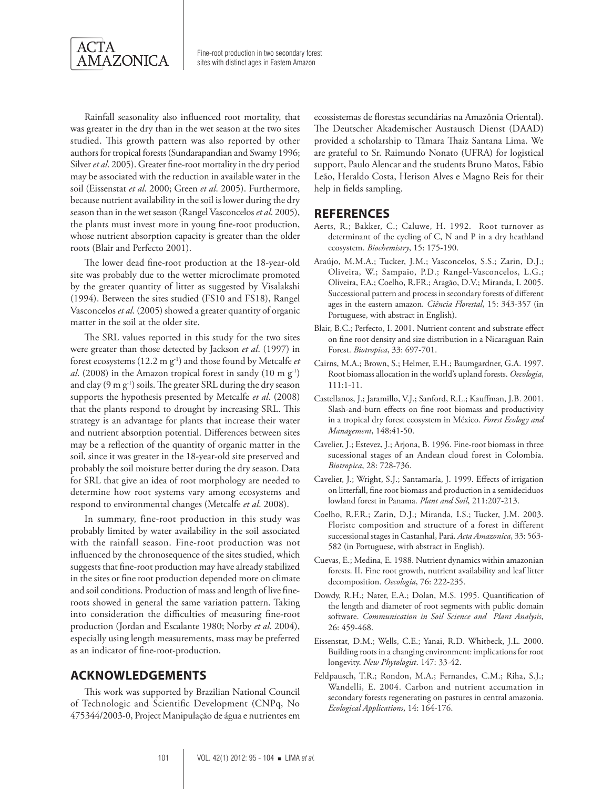

Rainfall seasonality also influenced root mortality, that was greater in the dry than in the wet season at the two sites studied. This growth pattern was also reported by other authors for tropical forests (Sundarapandian and Swamy 1996; Silver *et al*. 2005). Greater fine-root mortality in the dry period may be associated with the reduction in available water in the soil (Eissenstat *et al*. 2000; Green *et al*. 2005). Furthermore, because nutrient availability in the soil is lower during the dry season than in the wet season (Rangel Vasconcelos *et al*. 2005), the plants must invest more in young fine-root production, whose nutrient absorption capacity is greater than the older roots (Blair and Perfecto 2001).

The lower dead fine-root production at the 18-year-old site was probably due to the wetter microclimate promoted by the greater quantity of litter as suggested by Visalakshi (1994). Between the sites studied (FS10 and FS18), Rangel Vasconcelos *et al*. (2005) showed a greater quantity of organic matter in the soil at the older site.

The SRL values reported in this study for the two sites were greater than those detected by Jackson *et al*. (1997) in forest ecosystems (12.2 m g-1) and those found by Metcalfe *et al.* (2008) in the Amazon tropical forest in sandy (10 m g<sup>-1</sup>) and clay  $(9 \text{ m g}^{-1})$  soils. The greater SRL during the dry season supports the hypothesis presented by Metcalfe *et al*. (2008) that the plants respond to drought by increasing SRL. This strategy is an advantage for plants that increase their water and nutrient absorption potential. Differences between sites may be a reflection of the quantity of organic matter in the soil, since it was greater in the 18-year-old site preserved and probably the soil moisture better during the dry season. Data for SRL that give an idea of root morphology are needed to determine how root systems vary among ecosystems and respond to environmental changes (Metcalfe *et al*. 2008).

In summary, fine-root production in this study was probably limited by water availability in the soil associated with the rainfall season. Fine-root production was not influenced by the chronosequence of the sites studied, which suggests that fine-root production may have already stabilized in the sites or fine root production depended more on climate and soil conditions. Production of mass and length of live fineroots showed in general the same variation pattern. Taking into consideration the difficulties of measuring fine-root production (Jordan and Escalante 1980; Norby *et al*. 2004), especially using length measurements, mass may be preferred as an indicator of fine-root-production.

# **Acknowledgements**

This work was supported by Brazilian National Council of Technologic and Scientific Development (CNPq, No 475344/2003-0, Project Manipulação de água e nutrientes em

ecossistemas de florestas secundárias na Amazônia Oriental). The Deutscher Akademischer Austausch Dienst (DAAD) provided a scholarship to Tâmara Thaiz Santana Lima. We are grateful to Sr. Raimundo Nonato (UFRA) for logistical support, Paulo Alencar and the students Bruno Matos, Fábio Leão, Heraldo Costa, Herison Alves e Magno Reis for their help in fields sampling.

# **References**

- Aerts, R.; Bakker, C.; Caluwe, H. 1992. Root turnover as determinant of the cycling of C, N and P in a dry heathland ecosystem. *Biochemistry*, 15: 175-190.
- Araújo, M.M.A.; Tucker, J.M.; Vasconcelos, S.S.; Zarin, D.J.; Oliveira, W.; Sampaio, P.D.; Rangel-Vasconcelos, L.G.; Oliveira, F.A.; Coelho, R.FR.; Aragão, D.V.; Miranda, I. 2005. Successional pattern and process in secondary forests of different ages in the eastern amazon. *Ciência Florestal*, 15: 343-357 (in Portuguese, with abstract in English).
- Blair, B.C.; Perfecto, I. 2001. Nutrient content and substrate effect on fine root density and size distribution in a Nicaraguan Rain Forest. *Biotropica*, 33: 697-701.
- Cairns, M.A.; Brown, S.; Helmer, E.H.; Baumgardner, G.A. 1997. Root biomass allocation in the world's upland forests. *Oecologia*, 111:1-11.
- Castellanos, J.; Jaramillo, V.J.; Sanford, R.L.; Kauffman, J.B. 2001. Slash-and-burn effects on fine root biomass and productivity in a tropical dry forest ecosystem in México. *Forest Ecology and Management*, 148:41-50.
- Cavelier, J.; Estevez, J.; Arjona, B. 1996. Fine-root biomass in three sucessional stages of an Andean cloud forest in Colombia. *Biotropica*, 28: 728-736.
- Cavelier, J.; Wright, S.J.; Santamaría, J. 1999. Effects of irrigation on litterfall, fine root biomass and production in a semideciduos lowland forest in Panama. *Plant and Soil*, 211:207-213.
- Coelho, R.F.R.; Zarin, D.J.; Miranda, I.S.; Tucker, J.M. 2003. Floristc composition and structure of a forest in different successional stages in Castanhal, Pará. *Acta Amazonica*, 33: 563- 582 (in Portuguese, with abstract in English).
- Cuevas, E.; Medina, E. 1988. Nutrient dynamics within amazonian forests. II. Fine root growth, nutrient availability and leaf litter decomposition. *Oecologia*, 76: 222-235.
- Dowdy, R.H.; Nater, E.A.; Dolan, M.S. 1995. Quantification of the length and diameter of root segments with public domain software. *Communication in Soil Science and Plant Analysis*, 26: 459-468.
- Eissenstat, D.M.; Wells, C.E.; Yanai, R.D. Whitbeck, J.L. 2000. Building roots in a changing environment: implications for root longevity. *New Phytologist*. 147: 33-42.
- Feldpausch, T.R.; Rondon, M.A.; Fernandes, C.M.; Riha, S.J.; Wandelli, E. 2004. Carbon and nutrient accumation in secondary forests regenerating on pastures in central amazonia. *Ecological Applications*, 14: 164-176.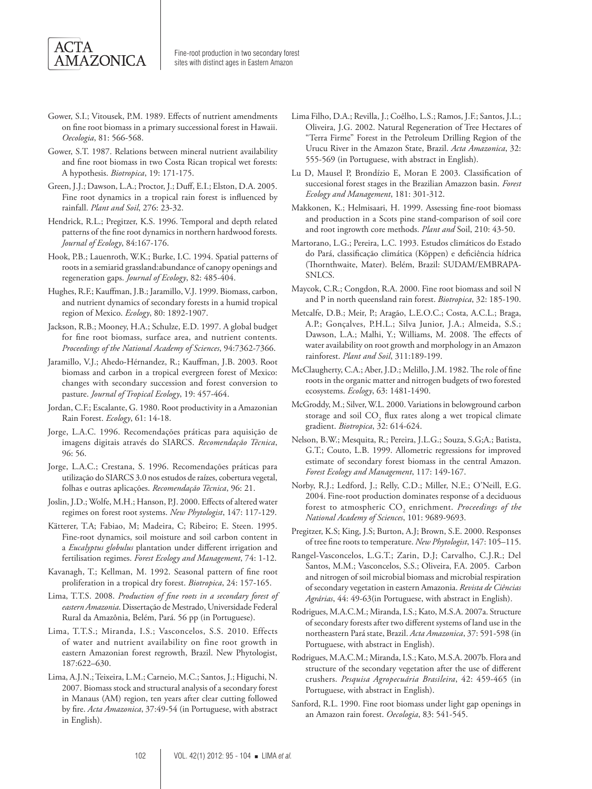

- Gower, S.I.; Vitousek, P.M. 1989. Effects of nutrient amendments on fine root biomass in a primary successional forest in Hawaii. *Oecologia*, 81: 566-568.
- Gower, S.T. 1987. Relations between mineral nutrient availability and fine root biomass in two Costa Rican tropical wet forests: A hypothesis. *Biotropica*, 19: 171-175.
- Green, J.J.; Dawson, L.A.; Proctor, J.; Duff, E.I.; Elston, D.A. 2005. Fine root dynamics in a tropical rain forest is influenced by rainfall. *Plant and Soil*, 276: 23-32.
- Hendrick, R.L.; Pregitzer, K.S. 1996. Temporal and depth related patterns of the fine root dynamics in northern hardwood forests. *Journal of Ecology*, 84:167-176.
- Hook, P.B.; Lauenroth, W.K.; Burke, I.C. 1994. Spatial patterns of roots in a semiarid grassland:abundance of canopy openings and regeneration gaps. *Journal of Ecology*, 82: 485-404.
- Hughes, R.F.; Kauffman, J.B.; Jaramillo, V.J. 1999. Biomass, carbon, and nutrient dynamics of secondary forests in a humid tropical region of Mexico. *Ecology*, 80: 1892-1907.
- Jackson, R.B.; Mooney, H.A.; Schulze, E.D. 1997. A global budget for fine root biomass, surface area, and nutrient contents. *Proceedings of the National Academy of Sciences*, 94:7362-7366.
- Jaramillo, V.J.; Ahedo-Hérnandez, R.; Kauffman, J.B. 2003. Root biomass and carbon in a tropical evergreen forest of Mexico: changes with secondary succession and forest conversion to pasture. *Journal of Tropical Ecology*, 19: 457-464.
- Jordan, C.F.; Escalante, G. 1980. Root productivity in a Amazonian Rain Forest. *Ecology*, 61: 14-18.
- Jorge, L.A.C. 1996. Recomendações práticas para aquisição de imagens digitais através do SIARCS. *Recomendação Técnica*, 96: 56.
- Jorge, L.A.C.; Crestana, S. 1996. Recomendações práticas para utilização do SIARCS 3.0 nos estudos de raízes, cobertura vegetal, folhas e outras aplicações. *Recomendação Técnica*, 96: 21.
- Joslin, J.D.; Wolfe, M.H.; Hanson, P.J. 2000. Effects of altered water regimes on forest root systems. *New Phytologist*, 147: 117-129.
- Kätterer, T.A; Fabiao, M; Madeira, C; Ribeiro; E. Steen. 1995. Fine-root dynamics, soil moisture and soil carbon content in a *Eucalyptus globulus* plantation under different irrigation and fertilisation regimes. *Forest Ecology and Management*, 74: 1-12.
- Kavanagh, T.; Kellman, M. 1992. Seasonal pattern of fine root proliferation in a tropical dry forest. *Biotropica*, 24: 157-165.
- Lima, T.T.S. 2008. *Production of fine roots in a secondary forest of eastern Amazonia*. Dissertação de Mestrado, Universidade Federal Rural da Amazônia, Belém, Pará. 56 pp (in Portuguese).
- Lima, T.T.S.; Miranda, I.S.; Vasconcelos, S.S. 2010. Effects of water and nutrient availability on fine root growth in eastern Amazonian forest regrowth, Brazil. New Phytologist, 187:622–630.
- Lima, A.J.N.; Teixeira, L.M.; Carneio, M.C.; Santos, J.; Higuchi, N. 2007. Biomass stock and structural analysis of a secondary forest in Manaus (AM) region, ten years after clear cutting followed by fire. *Acta Amazonica*, 37:49-54 (in Portuguese, with abstract in English).
- Lima Filho, D.A.; Revilla, J.; Coêlho, L.S.; Ramos, J.F.; Santos, J.L.; Oliveira, J.G. 2002. Natural Regeneration of Tree Hectares of "Terra Firme" Forest in the Petroleum Drilling Region of the Urucu River in the Amazon State, Brazil. *Acta Amazonica*, 32: 555-569 (in Portuguese, with abstract in English).
- Lu D, Mausel P, Brondízio E, Moran E 2003. Classification of succesional forest stages in the Brazilian Amazzon basin. *Forest Ecology and Management*, 181: 301-312.
- Makkonen, K.; Helmisaari, H. 1999. Assessing fine-root biomass and production in a Scots pine stand-comparison of soil core and root ingrowth core methods. *Plant and* Soil, 210: 43-50.
- Martorano, L.G.; Pereira, L.C. 1993. Estudos climáticos do Estado do Pará, classificação climática (Köppen) e deficiência hídrica (Thornthwaite, Mater). Belém, Brazil: SUDAM/EMBRAPA-SNLCS.
- Maycok, C.R.; Congdon, R.A. 2000. Fine root biomass and soil N and P in north queensland rain forest. *Biotropica*, 32: 185-190.
- Metcalfe, D.B.; Meir, P.; Aragão, L.E.O.C.; Costa, A.C.L.; Braga, A.P.; Gonçalves, P.H.L.; Silva Junior, J.A.; Almeida, S.S.; Dawson, L.A.; Malhi, Y.; Williams, M. 2008. The effects of water availability on root growth and morphology in an Amazon rainforest. *Plant and Soil*, 311:189-199.
- McClaugherty, C.A.; Aber, J.D.; Melillo, J.M. 1982. The role of fine roots in the organic matter and nitrogen budgets of two forested ecosystems. *Ecology*, 63: 1481-1490.
- McGroddy, M.; Silver, W.L. 2000. Variations in belowground carbon storage and soil  $\text{CO}_2$  flux rates along a wet tropical climate gradient. *Biotropica*, 32: 614-624.
- Nelson, B.W.; Mesquita, R.; Pereira, J.L.G.; Souza, S.G;A.; Batista, G.T.; Couto, L.B. 1999. Allometric regressions for improved estimate of secondary forest biomass in the central Amazon. *Forest Ecology and Management*, 117: 149-167.
- Norby, R.J.; Ledford, J.; Relly, C.D.; Miller, N.E.; O'Neill, E.G. 2004. Fine-root production dominates response of a deciduous forest to atmospheric CO<sub>2</sub> enrichment. *Proceedings of the National Academy of Sciences*, 101: 9689-9693.
- Pregitzer, K.S; King, J.S; Burton, A.J; Brown, S.E. 2000. Responses of tree fine roots to temperature. *New Phytologist*, 147: 105–115.
- Rangel-Vasconcelos, L.G.T.; Zarin, D.J; Carvalho, C.J.R.; Del Santos, M.M.; Vasconcelos, S.S.; Oliveira, F.A. 2005. Carbon and nitrogen of soil microbial biomass and microbial respiration of secondary vegetation in eastern Amazonia. *Revista de Ciências Agrárias*, 44: 49-63(in Portuguese, with abstract in English).
- Rodrigues, M.A.C.M.; Miranda, I.S.; Kato, M.S.A. 2007a. Structure of secondary forests after two different systems of land use in the northeastern Pará state, Brazil. *Acta Amazonica*, 37: 591-598 (in Portuguese, with abstract in English).
- Rodrigues, M.A.C.M.; Miranda, I.S.; Kato, M.S.A. 2007b. Flora and structure of the secondary vegetation after the use of different crushers. *Pesquisa Agropecuária Brasileira*, 42: 459-465 (in Portuguese, with abstract in English).
- Sanford, R.L. 1990. Fine root biomass under light gap openings in an Amazon rain forest. *Oecologia*, 83: 541-545.